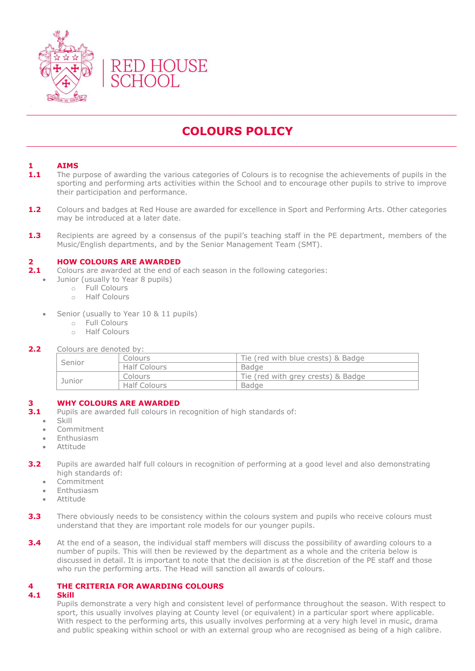

# **COLOURS POLICY**

## **1 AIMS**

- 1.1 The purpose of awarding the various categories of Colours is to recognise the achievements of pupils in the sporting and performing arts activities within the School and to encourage other pupils to strive to improve their participation and performance.
- **1.2** Colours and badges at Red House are awarded for excellence in Sport and Performing Arts. Other categories may be introduced at a later date.
- **1.3** Recipients are agreed by a consensus of the pupil's teaching staff in the PE department, members of the Music/English departments, and by the Senior Management Team (SMT).

#### **2 HOW COLOURS ARE AWARDED**

- **2.1** Colours are awarded at the end of each season in the following categories:
- Junior (usually to Year 8 pupils)
	- o Full Colours
		- o Half Colours
	- Senior (usually to Year 10 & 11 pupils)
		- o Full Colours
		- o Half Colours

#### 2.2 Colours are denoted by:

| Senior | Colours             | Tie (red with blue crests) & Badge |
|--------|---------------------|------------------------------------|
|        | <b>Half Colours</b> | Badge                              |
| Junior | Colours             | Tie (red with grey crests) & Badge |
|        | <b>Half Colours</b> | <b>Badge</b>                       |

#### **3 WHY COLOURS ARE AWARDED**

- **3.1** Pupils are awarded full colours in recognition of high standards of:
	- Skill
	- Commitment
	- Enthusiasm
	- Attitude
- **3.2** Pupils are awarded half full colours in recognition of performing at a good level and also demonstrating high standards of:
	- Commitment
	- Enthusiasm
	- Attitude
- **3.3** There obviously needs to be consistency within the colours system and pupils who receive colours must understand that they are important role models for our younger pupils.
- **3.4** At the end of a season, the individual staff members will discuss the possibility of awarding colours to a number of pupils. This will then be reviewed by the department as a whole and the criteria below is discussed in detail. It is important to note that the decision is at the discretion of the PE staff and those who run the performing arts. The Head will sanction all awards of colours.

# **4 THE CRITERIA FOR AWARDING COLOURS**

#### **4.1 Skill**

Pupils demonstrate a very high and consistent level of performance throughout the season. With respect to sport, this usually involves playing at County level (or equivalent) in a particular sport where applicable. With respect to the performing arts, this usually involves performing at a very high level in music, drama and public speaking within school or with an external group who are recognised as being of a high calibre.